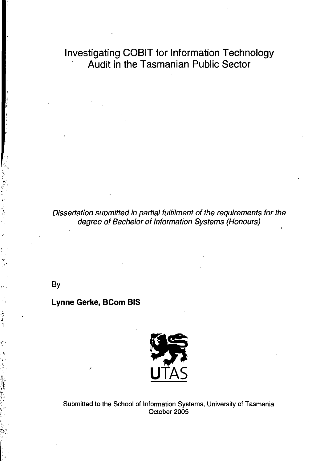**Investigating COBIT for Information Technology** Audit in the Tasmanian Public Sector

Dissertation submitted in partial fulfilment of the requirements for the degree of Bachelor of Information Systems (Honours)

By

#### **Lynne Gerke, BCom BIS**



Submitted to the School of Information Systems, University of Tasmania October 2005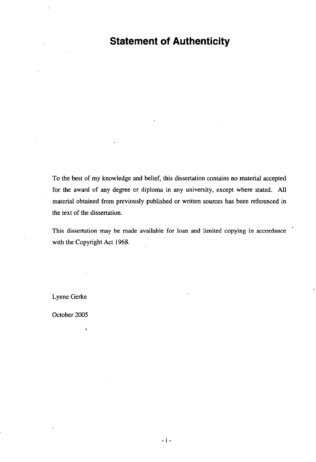## **Statement of Authenticity**

To the best of my knowledge and belief, this dissertation contains no material accepted for the award of any degree or diploma in any university, except where stated. **All**  material obtained from previously published or written sources has been referenced in the text of the dissertation.

This dissertation may be made available for loan and limited copying in accordance with the Copyright Act 1968.

Lynne Gerke

October 2005

 $\mathbf t$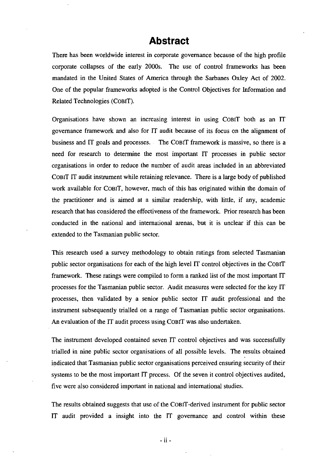### **Abstract**

There has been worldwide interest in corporate governance because of the high profile corporate collapses of the early 2000s. The use of control frameworks has been mandated in the United States of America through the Sarbanes Oxley Act of 2002. One of the popular frameworks adopted is the Control Objectives for Information and Related Technologies (CoBIT).

Organisations have shown an increasing interest in using COBiT both as an IT governance framework and also for IT audit because of its focus on the alignment of business and IT goals and processes. The COBiT framework is massive, so there is a need for research to determine the most important IT processes in public sector organisations in order to reduce the number of audit areas included in an abbreviated COBiT IT audit instrument while retaining relevance. There is a large body of published work available for COBiT, however, much of this has originated within the domain of the practitioner and is aimed at a similar readership, with little, if any, academic research that has considered the effectiveness of the framework. Prior research has been conducted **in** the national and international arenas, but it is unclear if this can be extended to the Tasmanian public sector.

This research used a survey methodology to obtain ratings from selected Tasmanian public sector organisations for each of the high level IT control objectives in the COBiT framework. These ratings were compiled to form a ranked list of the most important IT processes for the Tasmanian public sector. Audit measures were selected for the key IT processes, then validated by a senior public sector IT audit professional and the instrument subsequently trialled on a range of Tasmanian public sector organisations. An evaluation of the IT audit process using COBiT was also undertaken.

The instrument developed contained seven IT control objectives and was successfully trialled in nine public sector organisations of **all** possible levels. The results obtained indicated that Tasmanian public sector organisations perceived ensuring security of their systems to be the most important IT process. Of the seven it control objectives audited, five were also considered important in national and international studies.

The results obtained suggests that use of the COBiT -derived instrument for public sector IT audit provided a insight into the IT governance and control within these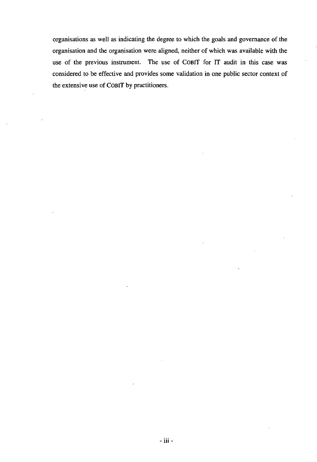organisations as well as indicating the degree to which the goals and governance of the organisation and the organisation were aligned, neither of which was available with the use of the previous instrument. The use of COBIT for IT audit in this case was considered to be effective and provides some validation in one public sector context of the extensive use of COBIT by practitioners.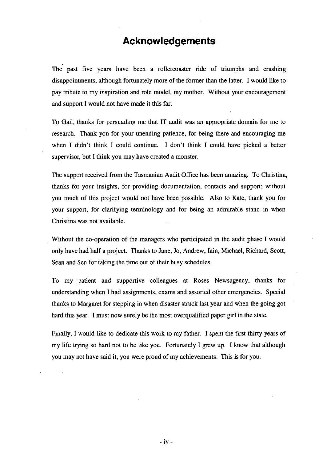## **Acknowledgements**

The past five years have been a rollercoaster ride of triumphs and crashing disappointments, although fortunately more of the former than the latter. I would like to pay tribute to my inspiration and role model, my mother. Without your encouragement and support I would not have made it this far.

To Gail, thanks for persuading me that IT audit was an appropriate domain for me to research. Thank you for your unending patience, for being there and encouraging me when I didn't think I could continue. I don't think I could have picked a better supervisor, but I think you may have created a monster.

The support received from the Tasmanian Audit Office has been amazing. To Christina, thanks for your insights, for providing documentation, contacts and support; without you much of this project would not have been possible. Also to Kate, thank you for your support, for clarifying terminology and for being an admirable stand in when Christina was not available.

Without the co-operation of the managers who participated in the audit phase I would only have had half a project. Thanks to Jane, Jo, Andrew, lain, Michael, Richard, Scatt, Sean and Sen for taking the time out of their busy schedules.

To my patient and supportive colleagues at Roses Newsagency, thanks for understanding when I had assignments, exams and assorted other emergencies. Special thanks to Margaret for stepping in when disaster struck last year and when the going got hard this year. I must now surely be the most overqualified paper girl in the state.

Finally, I would like to dedicate this work to my father. I spent the first thirty years of my life trying so hard not to be like you. Fortunately I grew up. I know that although you may not have said it, you were proud of my achievements. This is for you.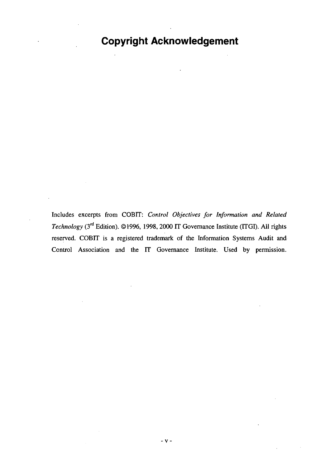## **Copyright Acknowledgement**

Includes excerpts from COBIT: *Control Objectives for Information and Related Technology* (3<sup>rd</sup> Edition). ©1996, 1998, 2000 IT Governance Institute (ITGI). All rights reserved. COBIT is a registered trademark of the Information Systems Audit and Control Association and the IT Governance Institute. Used by permission.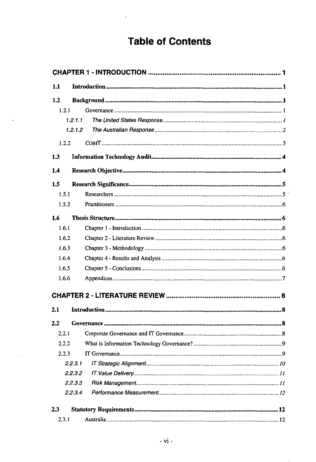# **Table of Contents**

 $\overline{a}$ 

 $\overline{1}$ 

l,

| 1.1        |  |
|------------|--|
| 1.2        |  |
| 1.2.1      |  |
| 1, 2, 1, 1 |  |
| 1.2.1.2    |  |
| 1.2.2      |  |
| 1.3        |  |
| 1.4        |  |
| 1.5        |  |
| 1.5.1      |  |
| 1.5.2      |  |
| 1.6        |  |
| 1.6.1      |  |
| 1.6.2      |  |
| 1.6.3      |  |
| 1.6.4      |  |
| 1.6.5      |  |
| 1.6.6      |  |
|            |  |
| 2.1        |  |
| 2.2        |  |
| 2.2.1      |  |
| 2.2.2      |  |
| 2.2.3      |  |
| 2.2.3.1    |  |
| 2.2.3.2    |  |
| 2.2.3.3    |  |
| 2.2.3.4    |  |
| 23         |  |
| 2.3.1      |  |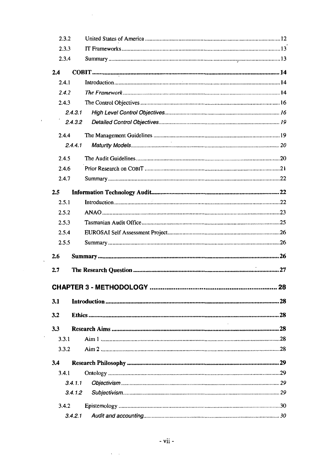|       | 2.3.2   |    |
|-------|---------|----|
| 2.3.3 |         |    |
| 2.3.4 |         |    |
| 2.4   |         |    |
| 2.4.1 |         |    |
| 2.4.2 |         |    |
| 2.4.3 |         |    |
|       | 2.4.3.1 |    |
|       | 2.4.3.2 |    |
| 2.4.4 |         |    |
|       | 2.4.4.1 |    |
| 2.4.5 |         |    |
| 2.4.6 |         |    |
| 2.4.7 |         |    |
| 2.5   |         |    |
| 2.5.1 |         |    |
| 2.5.2 |         |    |
| 2.5.3 |         |    |
| 2.5.4 |         |    |
| 2.5.5 |         |    |
|       |         |    |
| 2.6   |         |    |
| 2.7   |         |    |
|       |         |    |
|       |         |    |
| 3.1   |         | 28 |
| 3.2   |         |    |
| 3.3   |         |    |
| 3.3.1 |         |    |
| 3.3.2 |         |    |
| 3.4   |         |    |
| 3.4.1 |         |    |
|       | 3.4.1.1 |    |
|       | 3.4.1.2 |    |
| 3.4.2 |         |    |

 $\mathcal{L}^{\text{max}}_{\text{max}}$ 

 $\sqrt{2}$  ,  $\frac{1}{2}$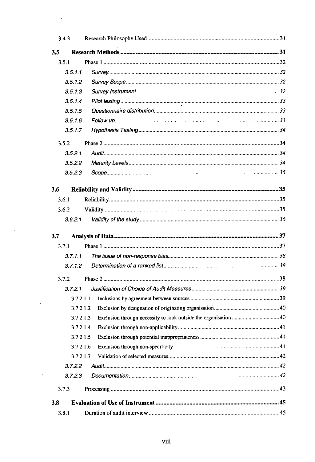| 3.43  |           |  |
|-------|-----------|--|
| 3.5   |           |  |
| 3.5.1 |           |  |
|       | 3.5.1.1   |  |
|       | 3.5.1.2   |  |
|       | 3.5.1.3   |  |
|       | 3.5.1.4   |  |
|       | 3.5.1.5   |  |
|       | 3.5.1.6   |  |
|       | 3.5.1.7   |  |
| 3.5.2 |           |  |
|       | 3.5.2.1   |  |
|       | 3.5.2.2   |  |
|       | 3.5.2.3   |  |
| 3.6   |           |  |
| 3.6.1 |           |  |
| 3.6.2 |           |  |
|       | 3.6.2.1   |  |
|       |           |  |
|       |           |  |
| 3.7   |           |  |
| 3.7.1 |           |  |
|       | 3.7.1.1   |  |
|       | 3.7.1.2   |  |
| 3.7.2 |           |  |
|       | 3.7.2.1   |  |
|       | 3.7.2.1.1 |  |
|       | 3.7.2.1.2 |  |
|       | 3.7.2.1.3 |  |
|       | 3.7.2.1.4 |  |
|       | 3.7.2.1.5 |  |
|       | 3.7.2.1.6 |  |
|       | 3.7.2.1.7 |  |
|       | 3.7.2.2   |  |
|       | 3.7.2.3   |  |
| 3.7.3 |           |  |
| 3.8   |           |  |

 $\langle \cdot \rangle$ 

 $\hat{\mathcal{A}}$ 

 $\bar{\phantom{a}}$ 

 $\sim$ 

 $\frac{1}{2}$ 

 $\hat{\mathbf{r}}$ 

 $\ddot{\phantom{a}}$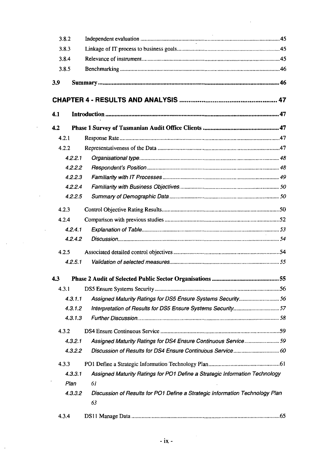| 3.8.2 |                                                                                         |  |
|-------|-----------------------------------------------------------------------------------------|--|
| 3.8.3 |                                                                                         |  |
| 3.8.4 |                                                                                         |  |
| 3.8.5 |                                                                                         |  |
| 3.9   |                                                                                         |  |
|       |                                                                                         |  |
|       |                                                                                         |  |
| 4.1   |                                                                                         |  |
| 4.2   |                                                                                         |  |
| 4.2.1 |                                                                                         |  |
| 4.2.2 |                                                                                         |  |
|       | 4.2.2.1                                                                                 |  |
|       | 4.2.2.2                                                                                 |  |
|       | 4.2.2.3                                                                                 |  |
|       | 4.2.2.4                                                                                 |  |
|       | 4.2.2.5                                                                                 |  |
| 4.2.3 |                                                                                         |  |
| 4.2.4 |                                                                                         |  |
|       | 4.2.4.1                                                                                 |  |
|       | 4.2.4.2                                                                                 |  |
| 4.2.5 |                                                                                         |  |
|       | 4.2.5.1                                                                                 |  |
| 4.3   |                                                                                         |  |
| 4.3.1 |                                                                                         |  |
|       | Assigned Maturity Ratings for DS5 Ensure Systems Security 56<br>4.3.1.1                 |  |
|       | 4.3.1.2                                                                                 |  |
|       | 4.3.1.3                                                                                 |  |
| 4.3.2 |                                                                                         |  |
|       | 4.3.2.1<br>Assigned Maturity Ratings for DS4 Ensure Continuous Service59                |  |
|       | 4.3.2.2                                                                                 |  |
| 4.3.3 |                                                                                         |  |
|       | Assigned Maturity Ratings for PO1 Define a Strategic Information Technology<br>4.3.3.1  |  |
|       | 61<br>Plan                                                                              |  |
|       | Discussion of Results for PO1 Define a Strategic Information Technology Plan<br>4.3.3.2 |  |
|       | 63                                                                                      |  |
| 4.3.4 |                                                                                         |  |

 $\mathcal{L}^{\text{max}}$  and  $\mathcal{L}^{\text{max}}$ 

 $\hat{\mathcal{A}}$ 

 $\mathcal{L}^{\text{max}}_{\text{max}}$  and  $\mathcal{L}^{\text{max}}_{\text{max}}$